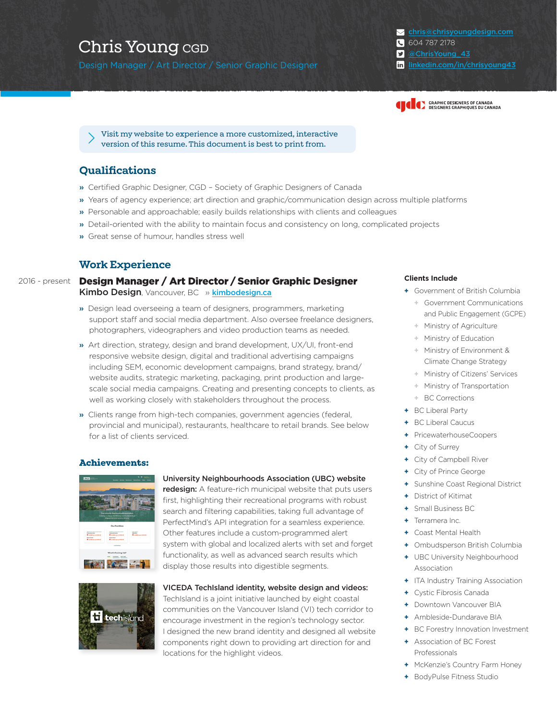Design Manager / Art Director / Senior Graphic Designer [linkedin.com/in/chrisyoung43](https://www.linkedin.com/in/chrisyoung43/)

[chris@chrisyoungdesign.com](mailto:chris%40chrisyoungdesign.com?subject=) 604 787 2178 [@ChrisYoung\\_43](https://twitter.com/ChrisYoung_43)



[Visit my website to experience a more customized, interactive](https://www.chrisyoungdesign.com/portfolio/resume/)  version of this resume. This document is best to print from.

# **Qualifications**

- » Certified Graphic Designer, CGD Society of Graphic Designers of Canada
- » Years of agency experience; art direction and graphic/communication design across multiple platforms
- » Personable and approachable; easily builds relationships with clients and colleagues
- » Detail-oriented with the ability to maintain focus and consistency on long, complicated projects
- » Great sense of humour, handles stress well

# **Work Experience**

Design Manager / Art Director / Senior Graphic Designer Kimbo Design, Vancouver, BC » [kimbodesign.ca](http://www.kimbodesign.ca) 2016 - present

- » Design lead overseeing a team of designers, programmers, marketing support staff and social media department. Also oversee freelance designers, photographers, videographers and video production teams as needed.
- » Art direction, strategy, design and brand development, UX/UI, front-end responsive website design, digital and traditional advertising campaigns including SEM, economic development campaigns, brand strategy, brand/ website audits, strategic marketing, packaging, print production and largescale social media campaigns. Creating and presenting concepts to clients, as well as working closely with stakeholders throughout the process.
- » Clients range from high-tech companies, government agencies (federal, provincial and municipal), restaurants, healthcare to retail brands. See below for a list of clients serviced.

### **Achievements:**



### [University Neighbourhoods Association \(UBC\) website](https://www.chrisyoungdesign.com/portfolio/portfolio/university-neighbourhood-association-website/)

[redesign:](https://www.chrisyoungdesign.com/portfolio/portfolio/university-neighbourhood-association-website/) A feature-rich municipal website that puts users first, highlighting their recreational programs with robust search and filtering capabilities, taking full advantage of PerfectMind's API integration for a seamless experience. Other features include a custom-programmed alert system with global and localized alerts with set and forget functionality, as well as advanced search results which display those results into digestible segments.



### [VICEDA TechIsland identity, website design and videos:](https://www.chrisyoungdesign.com/portfolio/portfolio/tech-island-identity-website-design-videos/)

TechIsland is a joint initiative launched by eight coastal communities on the Vancouver Island (VI) tech corridor to encourage investment in the region's technology sector. I designed the new brand identity and designed all website components right down to providing art direction for and locations for the highlight videos.

### **Clients Include**

- **+** Government of British Columbia
	- **+** Government Communications and Public Engagement (GCPE)
	- **+** Ministry of Agriculture
	- **+** Ministry of Education
	- **+** Ministry of Environment & Climate Change Strategy
	- **+** Ministry of Citizens' Services
	- **+** Ministry of Transportation
	- **+** BC Corrections
- **+** BC Liberal Party
- **+** BC Liberal Caucus
- **+** PricewaterhouseCoopers
- **+** City of Surrey
- **+** City of Campbell River
- **+** City of Prince George
- **+** Sunshine Coast Regional District
- **+** District of Kitimat
- **+** Small Business BC
- **+** Terramera Inc.
- **+** Coast Mental Health
- **+** Ombudsperson British Columbia
- **+** UBC University Neighbourhood Association
- **+** ITA Industry Training Association
- **+** Cystic Fibrosis Canada
- **+** Downtown Vancouver BIA
- **+** Ambleside-Dundarave BIA
- **+** BC Forestry Innovation Investment
- **+** Association of BC Forest Professionals
- **+** McKenzie's Country Farm Honey
- **+** BodyPulse Fitness Studio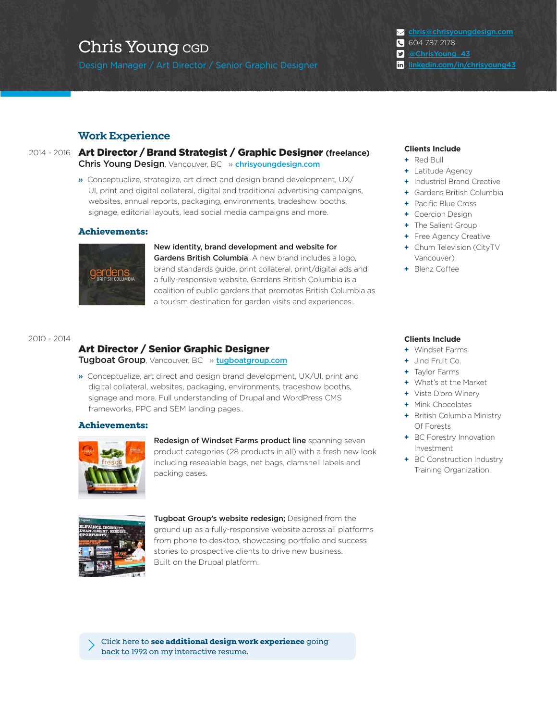Design Manager / Art Director / Senior Graphic Designer [linkedin.com/in/chrisyoung43](https://www.linkedin.com/in/chrisyoung43/)

[chris@chrisyoungdesign.com](mailto:chris%40chrisyoungdesign.com?subject=) 604 787 2178 [@ChrisYoung\\_43](https://twitter.com/ChrisYoung_43)

### **Work Experience**

Art Director / Brand Strategist / Graphic Designer **(freelance)** 2014 - 2016 **Clients Include** Chris Young Design, Vancouver, BC » [chrisyoungdesign.com](http://www.chrisyoungdesign.com)

> » Conceptualize, strategize, art direct and design brand development, UX/ UI, print and digital collateral, digital and traditional advertising campaigns, websites, annual reports, packaging, environments, tradeshow booths, signage, editorial layouts, lead social media campaigns and more.

### **Achievements:**



New identity, brand development and website for Gardens British Columbia: A new brand includes a logo, brand standards guide, print collateral, print/digital ads and a fully-responsive website. Gardens British Columbia is a coalition of public gardens that promotes British Columbia as a tourism destination for garden visits and experiences..

### 2010 - 2014

# Art Director / Senior Graphic Designer

Tugboat Group, Vancouver, BC » [tugboatgroup.com](http://www.tugboatgroup.com)

» Conceptualize, art direct and design brand development, UX/UI, print and digital collateral, websites, packaging, environments, tradeshow booths, signage and more. Full understanding of Drupal and WordPress CMS frameworks, PPC and SEM landing pages..

### **Achievements:**



Redesign of Windset Farms product line spanning seven product categories (28 products in all) with a fresh new look including resealable bags, net bags, clamshell labels and packing cases.



Tugboat Group's website redesign; Designed from the ground up as a fully-responsive website across all platforms from phone to desktop, showcasing portfolio and success stories to prospective clients to drive new business. Built on the Drupal platform.

Click here to **[see additional design work experience](https://www.chrisyoungdesign.com/portfolio/resume/#OtherDesignExperience)** going back to 1992 on my interactive resume.

- **+** Red Bull
- **+** Latitude Agency
- **+** Industrial Brand Creative
- **+** Gardens British Columbia
- **+** Pacific Blue Cross
- **+** Coercion Design
- **+** The Salient Group
- **+** Free Agency Creative
- **+** Chum Television (CityTV Vancouver)
- **+** Blenz Coffee

### **Clients Include**

- **+** Windset Farms
- **+** Jind Fruit Co.
- **+** Taylor Farms
- **+** What's at the Market
- **+** Vista D'oro Winery
- **+** Mink Chocolates
- **+** British Columbia Ministry Of Forests
- **+** BC Forestry Innovation Investment
- **+** BC Construction Industry Training Organization.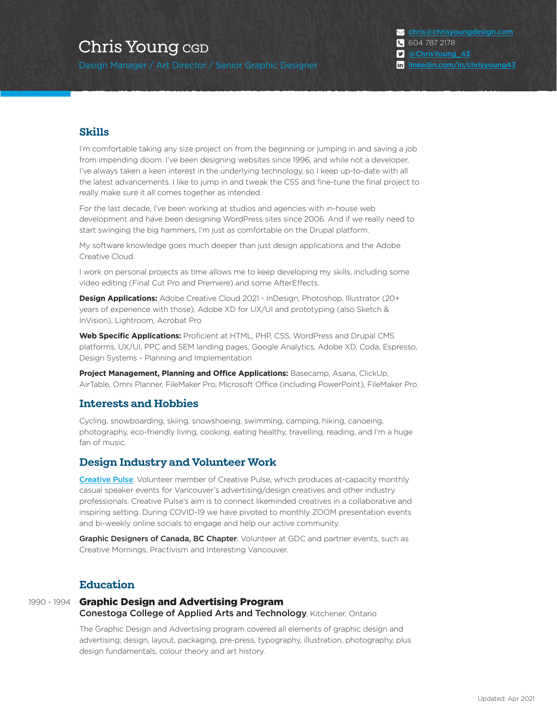Design Manager / Art Director / Senior Graphic Designer [linkedin.com/in/chrisyoung43](https://www.linkedin.com/in/chrisyoung43/)

[chris@chrisyoungdesign.com](mailto:chris%40chrisyoungdesign.com?subject=) 604 787 2178 [@ChrisYoung\\_43](https://twitter.com/ChrisYoung_43)

# **Skills**

I'm comfortable taking any size project on from the beginning or jumping in and saving a job from impending doom. I've been designing websites since 1996, and while not a developer, I've always taken a keen interest in the underlying technology, so I keep up-to-date with all the latest advancements. I like to jump in and tweak the CSS and fine-tune the final project to really make sure it all comes together as intended.

For the last decade, I've been working at studios and agencies with in-house web development and have been designing WordPress sites since 2006. And if we really need to start swinging the big hammers, I'm just as comfortable on the Drupal platform.

My software knowledge goes much deeper than just design applications and the Adobe Creative Cloud.

I work on personal projects as time allows me to keep developing my skills, including some video editing (Final Cut Pro and Premiere) and some AfterEffects.

**Design Applications:** Adobe Creative Cloud 2021 - InDesign, Photoshop, Illustrator (20+ years of experience with those), Adobe XD for UX/UI and prototyping (also Sketch & InVision), Lightroom, Acrobat Pro

**Web Specific Applications:** Proficient at HTML, PHP, CSS, WordPress and Drupal CMS platforms, UX/UI, PPC and SEM landing pages, Google Analytics, Adobe XD, Coda, Espresso, Design Systems - Planning and Implementation

**Project Management, Planning and Office Applications:** Basecamp, Asana, ClickUp, AirTable, Omni Planner, FileMaker Pro, Microsoft Office (including PowerPoint), FileMaker Pro.

# **Interests and Hobbies**

Cycling, snowboarding, skiing, snowshoeing, swimming, camping, hiking, canoeing, photography, eco-friendly living, cooking, eating healthy, travelling, reading, and I'm a huge fan of music.

### **Design Industry and Volunteer Work**

[Creative Pulse](https://www.facebook.com/CPyvr/): Volunteer member of Creative Pulse, which produces at-capacity monthly casual speaker events for Vancouver's advertising/design creatives and other industry professionals. Creative Pulse's aim is to connect likeminded creatives in a collaborative and inspiring setting. During COVID-19 we have pivoted to monthly ZOOM presentation events and bi-weekly online socials to engage and help our active community.

Graphic Designers of Canada, BC Chapter: Volunteer at GDC and partner events, such as Creative Mornings, Practivism and Interesting Vancouver.

## **Education**

### 1990 - 1994 Graphic Design and Advertising Program **Conestoga College of Applied Arts and Technology, Kitchener, Ontario**

The Graphic Design and Advertising program covered all elements of graphic design and advertising; design, layout, packaging, pre-press, typography, illustration, photography, plus design fundamentals, colour theory and art history.